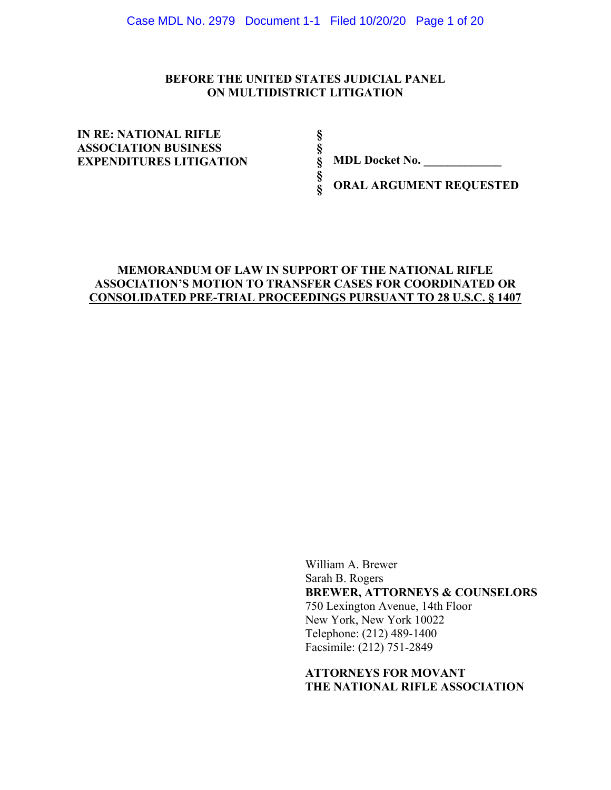### **BEFORE THE UNITED STATES JUDICIAL PANEL ON MULTIDISTRICT LITIGATION**

**§ § § § §** 

**IN RE: NATIONAL RIFLE ASSOCIATION BUSINESS EXPENDITURES LITIGATION** 

**MDL Docket No. \_\_\_\_\_\_\_\_\_\_\_\_\_** 

**ORAL ARGUMENT REQUESTED** 

### **MEMORANDUM OF LAW IN SUPPORT OF THE NATIONAL RIFLE ASSOCIATION'S MOTION TO TRANSFER CASES FOR COORDINATED OR CONSOLIDATED PRE-TRIAL PROCEEDINGS PURSUANT TO 28 U.S.C. § 1407**

William A. Brewer Sarah B. Rogers **BREWER, ATTORNEYS & COUNSELORS** 750 Lexington Avenue, 14th Floor New York, New York 10022 Telephone: (212) 489-1400 Facsimile: (212) 751-2849

**ATTORNEYS FOR MOVANT THE NATIONAL RIFLE ASSOCIATION**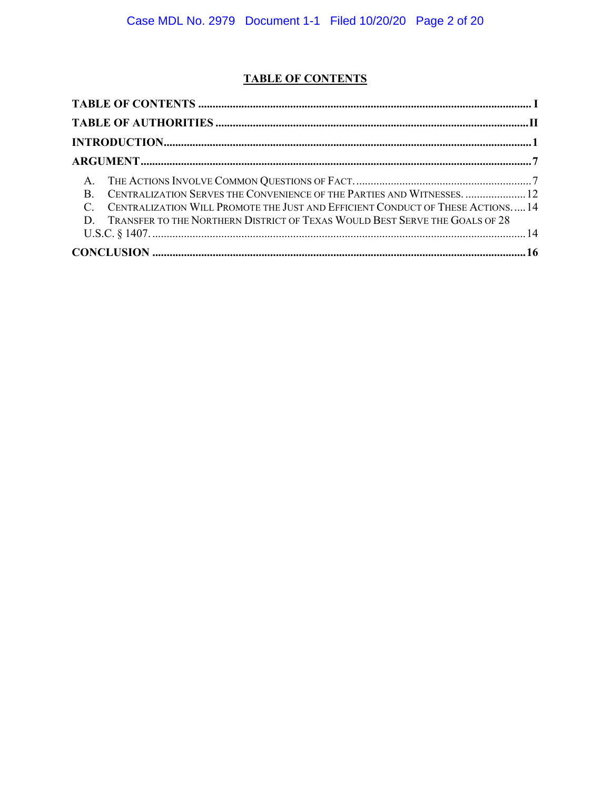# **TABLE OF CONTENTS**

| B. CENTRALIZATION SERVES THE CONVENIENCE OF THE PARTIES AND WITNESSES.  12       |
|----------------------------------------------------------------------------------|
| C. CENTRALIZATION WILL PROMOTE THE JUST AND EFFICIENT CONDUCT OF THESE ACTIONS14 |
| D. TRANSFER TO THE NORTHERN DISTRICT OF TEXAS WOULD BEST SERVE THE GOALS OF 28   |
|                                                                                  |
|                                                                                  |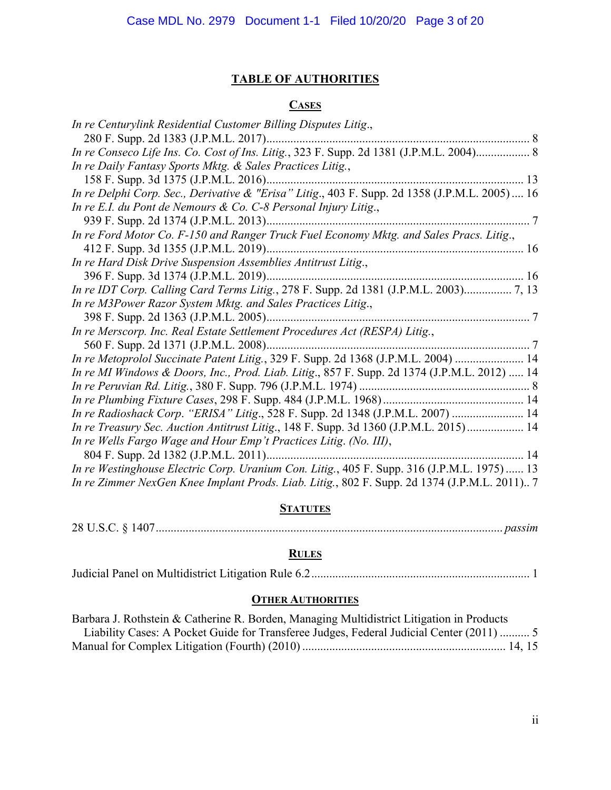# **TABLE OF AUTHORITIES**

## **CASES**

| In re Centurylink Residential Customer Billing Disputes Litig.,                                |
|------------------------------------------------------------------------------------------------|
|                                                                                                |
| In re Conseco Life Ins. Co. Cost of Ins. Litig., 323 F. Supp. 2d 1381 (J.P.M.L. 2004) 8        |
| In re Daily Fantasy Sports Mktg. & Sales Practices Litig.,                                     |
|                                                                                                |
| In re Delphi Corp. Sec., Derivative & "Erisa" Litig., 403 F. Supp. 2d 1358 (J.P.M.L. 2005)  16 |
| In re E.I. du Pont de Nemours & Co. C-8 Personal Injury Litig.,                                |
|                                                                                                |
| In re Ford Motor Co. F-150 and Ranger Truck Fuel Economy Mktg. and Sales Pracs. Litig.,        |
|                                                                                                |
| In re Hard Disk Drive Suspension Assemblies Antitrust Litig.,                                  |
|                                                                                                |
| In re IDT Corp. Calling Card Terms Litig., 278 F. Supp. 2d 1381 (J.P.M.L. 2003) 7, 13          |
| In re M3Power Razor System Mktg. and Sales Practices Litig.,                                   |
|                                                                                                |
| In re Merscorp. Inc. Real Estate Settlement Procedures Act (RESPA) Litig.,                     |
|                                                                                                |
| In re Metoprolol Succinate Patent Litig., 329 F. Supp. 2d 1368 (J.P.M.L. 2004)  14             |
| In re MI Windows & Doors, Inc., Prod. Liab. Litig., 857 F. Supp. 2d 1374 (J.P.M.L. 2012)  14   |
|                                                                                                |
|                                                                                                |
| In re Radioshack Corp. "ERISA" Litig., 528 F. Supp. 2d 1348 (J.P.M.L. 2007)  14                |
| In re Treasury Sec. Auction Antitrust Litig., 148 F. Supp. 3d 1360 (J.P.M.L. 2015) 14          |
| In re Wells Fargo Wage and Hour Emp't Practices Litig. (No. III),                              |
|                                                                                                |
| In re Westinghouse Electric Corp. Uranium Con. Litig., 405 F. Supp. 316 (J.P.M.L. 1975) 13     |
| In re Zimmer NexGen Knee Implant Prods. Liab. Litig., 802 F. Supp. 2d 1374 (J.P.M.L. 2011) 7   |

# **STATUTES**

|--|--|--|--|

# **RULES**

|--|--|--|

# **OTHER AUTHORITIES**

| Barbara J. Rothstein & Catherine R. Borden, Managing Multidistrict Litigation in Products |
|-------------------------------------------------------------------------------------------|
| Liability Cases: A Pocket Guide for Transferee Judges, Federal Judicial Center (2011)  5  |
|                                                                                           |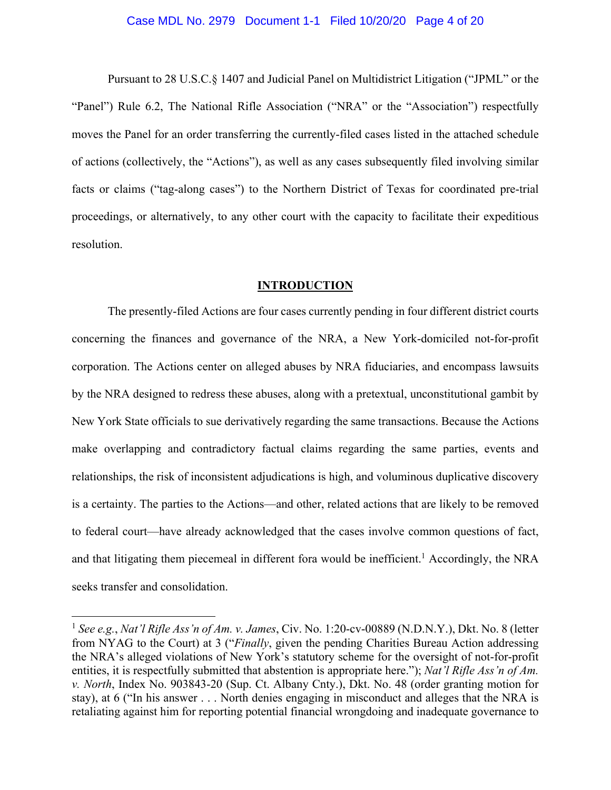#### Case MDL No. 2979 Document 1-1 Filed 10/20/20 Page 4 of 20

 Pursuant to 28 U.S.C.§ 1407 and Judicial Panel on Multidistrict Litigation ("JPML" or the "Panel") Rule 6.2, The National Rifle Association ("NRA" or the "Association") respectfully moves the Panel for an order transferring the currently-filed cases listed in the attached schedule of actions (collectively, the "Actions"), as well as any cases subsequently filed involving similar facts or claims ("tag-along cases") to the Northern District of Texas for coordinated pre-trial proceedings, or alternatively, to any other court with the capacity to facilitate their expeditious resolution.

### **INTRODUCTION**

The presently-filed Actions are four cases currently pending in four different district courts concerning the finances and governance of the NRA, a New York-domiciled not-for-profit corporation. The Actions center on alleged abuses by NRA fiduciaries, and encompass lawsuits by the NRA designed to redress these abuses, along with a pretextual, unconstitutional gambit by New York State officials to sue derivatively regarding the same transactions. Because the Actions make overlapping and contradictory factual claims regarding the same parties, events and relationships, the risk of inconsistent adjudications is high, and voluminous duplicative discovery is a certainty. The parties to the Actions—and other, related actions that are likely to be removed to federal court—have already acknowledged that the cases involve common questions of fact, and that litigating them piecemeal in different fora would be inefficient.<sup>1</sup> Accordingly, the NRA seeks transfer and consolidation.

<sup>1</sup> *See e.g.*, *Nat'l Rifle Ass'n of Am. v. James*, Civ. No. 1:20-cv-00889 (N.D.N.Y.), Dkt. No. 8 (letter from NYAG to the Court) at 3 ("*Finally*, given the pending Charities Bureau Action addressing the NRA's alleged violations of New York's statutory scheme for the oversight of not-for-profit entities, it is respectfully submitted that abstention is appropriate here."); *Nat'l Rifle Ass'n of Am. v. North*, Index No. 903843-20 (Sup. Ct. Albany Cnty.), Dkt. No. 48 (order granting motion for stay), at 6 ("In his answer . . . North denies engaging in misconduct and alleges that the NRA is retaliating against him for reporting potential financial wrongdoing and inadequate governance to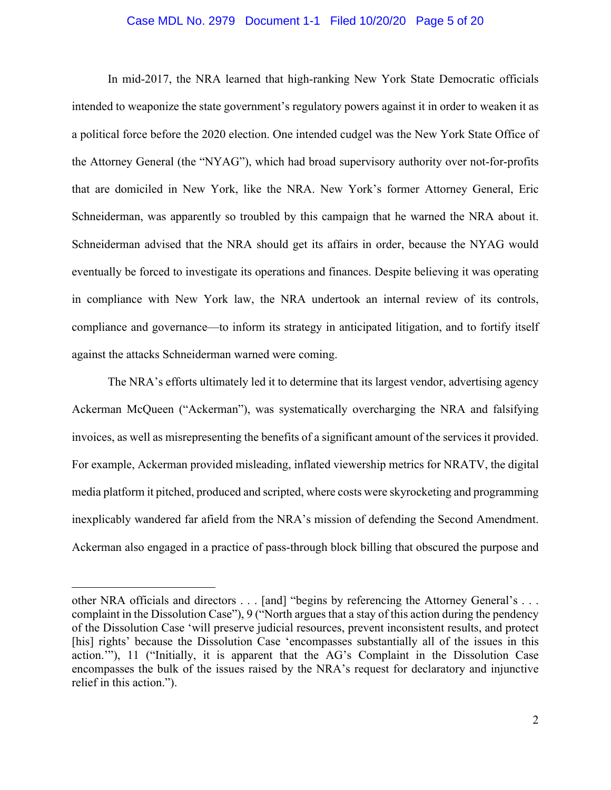#### Case MDL No. 2979 Document 1-1 Filed 10/20/20 Page 5 of 20

In mid-2017, the NRA learned that high-ranking New York State Democratic officials intended to weaponize the state government's regulatory powers against it in order to weaken it as a political force before the 2020 election. One intended cudgel was the New York State Office of the Attorney General (the "NYAG"), which had broad supervisory authority over not-for-profits that are domiciled in New York, like the NRA. New York's former Attorney General, Eric Schneiderman, was apparently so troubled by this campaign that he warned the NRA about it. Schneiderman advised that the NRA should get its affairs in order, because the NYAG would eventually be forced to investigate its operations and finances. Despite believing it was operating in compliance with New York law, the NRA undertook an internal review of its controls, compliance and governance—to inform its strategy in anticipated litigation, and to fortify itself against the attacks Schneiderman warned were coming.

The NRA's efforts ultimately led it to determine that its largest vendor, advertising agency Ackerman McQueen ("Ackerman"), was systematically overcharging the NRA and falsifying invoices, as well as misrepresenting the benefits of a significant amount of the services it provided. For example, Ackerman provided misleading, inflated viewership metrics for NRATV, the digital media platform it pitched, produced and scripted, where costs were skyrocketing and programming inexplicably wandered far afield from the NRA's mission of defending the Second Amendment. Ackerman also engaged in a practice of pass-through block billing that obscured the purpose and

other NRA officials and directors . . . [and] "begins by referencing the Attorney General's . . . complaint in the Dissolution Case"), 9 ("North argues that a stay of this action during the pendency of the Dissolution Case 'will preserve judicial resources, prevent inconsistent results, and protect [his] rights' because the Dissolution Case 'encompasses substantially all of the issues in this action.'"), 11 ("Initially, it is apparent that the AG's Complaint in the Dissolution Case encompasses the bulk of the issues raised by the NRA's request for declaratory and injunctive relief in this action.").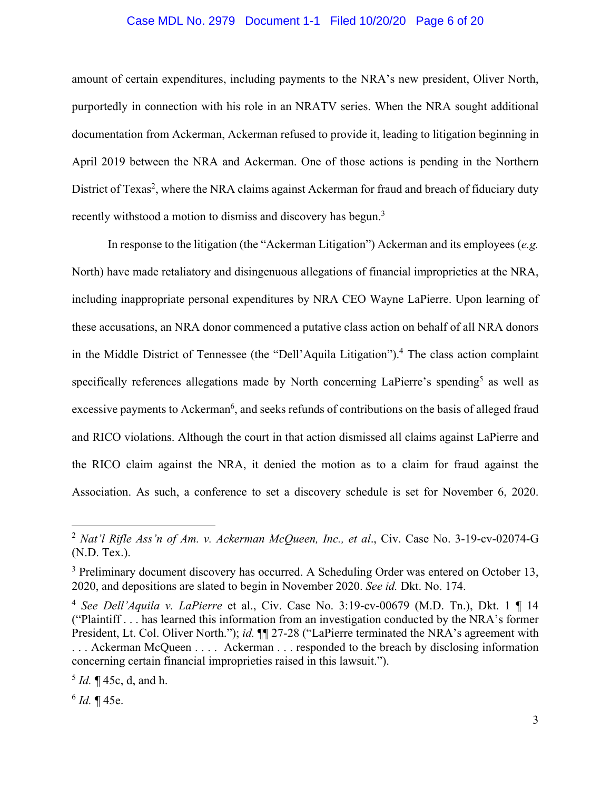#### Case MDL No. 2979 Document 1-1 Filed 10/20/20 Page 6 of 20

amount of certain expenditures, including payments to the NRA's new president, Oliver North, purportedly in connection with his role in an NRATV series. When the NRA sought additional documentation from Ackerman, Ackerman refused to provide it, leading to litigation beginning in April 2019 between the NRA and Ackerman. One of those actions is pending in the Northern District of Texas<sup>2</sup>, where the NRA claims against Ackerman for fraud and breach of fiduciary duty recently withstood a motion to dismiss and discovery has begun.<sup>3</sup>

 In response to the litigation (the "Ackerman Litigation") Ackerman and its employees (*e.g.*  North) have made retaliatory and disingenuous allegations of financial improprieties at the NRA, including inappropriate personal expenditures by NRA CEO Wayne LaPierre. Upon learning of these accusations, an NRA donor commenced a putative class action on behalf of all NRA donors in the Middle District of Tennessee (the "Dell'Aquila Litigation").<sup>4</sup> The class action complaint specifically references allegations made by North concerning LaPierre's spending<sup>5</sup> as well as excessive payments to Ackerman<sup>6</sup>, and seeks refunds of contributions on the basis of alleged fraud and RICO violations. Although the court in that action dismissed all claims against LaPierre and the RICO claim against the NRA, it denied the motion as to a claim for fraud against the Association. As such, a conference to set a discovery schedule is set for November 6, 2020.

<sup>2</sup> *Nat'l Rifle Ass'n of Am. v. Ackerman McQueen, Inc., et al*., Civ. Case No. 3-19-cv-02074-G (N.D. Tex.).

 $3$  Preliminary document discovery has occurred. A Scheduling Order was entered on October 13, 2020, and depositions are slated to begin in November 2020. *See id.* Dkt. No. 174.

<sup>4</sup> *See Dell'Aquila v. LaPierre* et al., Civ. Case No. 3:19-cv-00679 (M.D. Tn.), Dkt. 1 ¶ 14 ("Plaintiff . . . has learned this information from an investigation conducted by the NRA's former President, Lt. Col. Oliver North."); *id.*  $\P$  27-28 ("LaPierre terminated the NRA's agreement with . . . Ackerman McQueen . . . . Ackerman . . . responded to the breach by disclosing information concerning certain financial improprieties raised in this lawsuit.").

<sup>5</sup> *Id.* ¶ 45c, d, and h.

 $^{6}$  *Id.* ¶ 45e.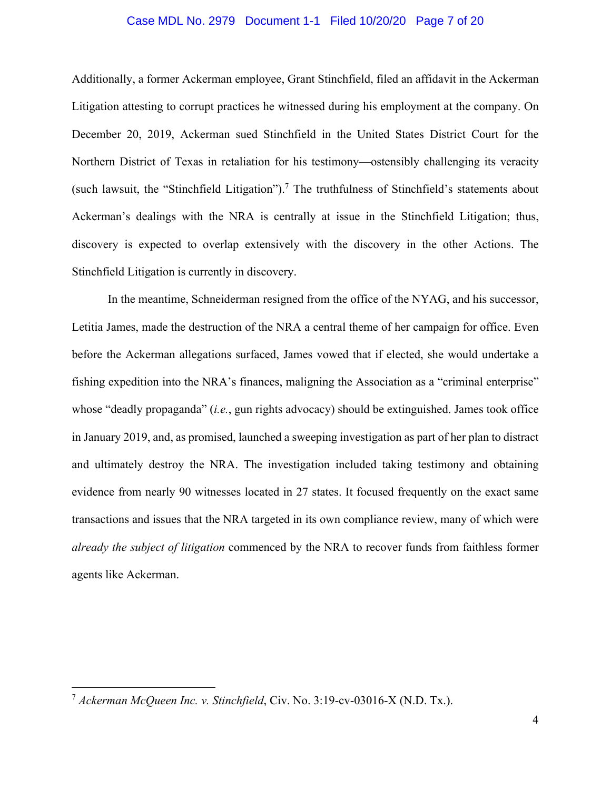### Case MDL No. 2979 Document 1-1 Filed 10/20/20 Page 7 of 20

Additionally, a former Ackerman employee, Grant Stinchfield, filed an affidavit in the Ackerman Litigation attesting to corrupt practices he witnessed during his employment at the company. On December 20, 2019, Ackerman sued Stinchfield in the United States District Court for the Northern District of Texas in retaliation for his testimony—ostensibly challenging its veracity (such lawsuit, the "Stinchfield Litigation").<sup>7</sup> The truthfulness of Stinchfield's statements about Ackerman's dealings with the NRA is centrally at issue in the Stinchfield Litigation; thus, discovery is expected to overlap extensively with the discovery in the other Actions. The Stinchfield Litigation is currently in discovery.

In the meantime, Schneiderman resigned from the office of the NYAG, and his successor, Letitia James, made the destruction of the NRA a central theme of her campaign for office. Even before the Ackerman allegations surfaced, James vowed that if elected, she would undertake a fishing expedition into the NRA's finances, maligning the Association as a "criminal enterprise" whose "deadly propaganda" (*i.e.*, gun rights advocacy) should be extinguished. James took office in January 2019, and, as promised, launched a sweeping investigation as part of her plan to distract and ultimately destroy the NRA. The investigation included taking testimony and obtaining evidence from nearly 90 witnesses located in 27 states. It focused frequently on the exact same transactions and issues that the NRA targeted in its own compliance review, many of which were *already the subject of litigation* commenced by the NRA to recover funds from faithless former agents like Ackerman.

<sup>7</sup> *Ackerman McQueen Inc. v. Stinchfield*, Civ. No. 3:19-cv-03016-X (N.D. Tx.).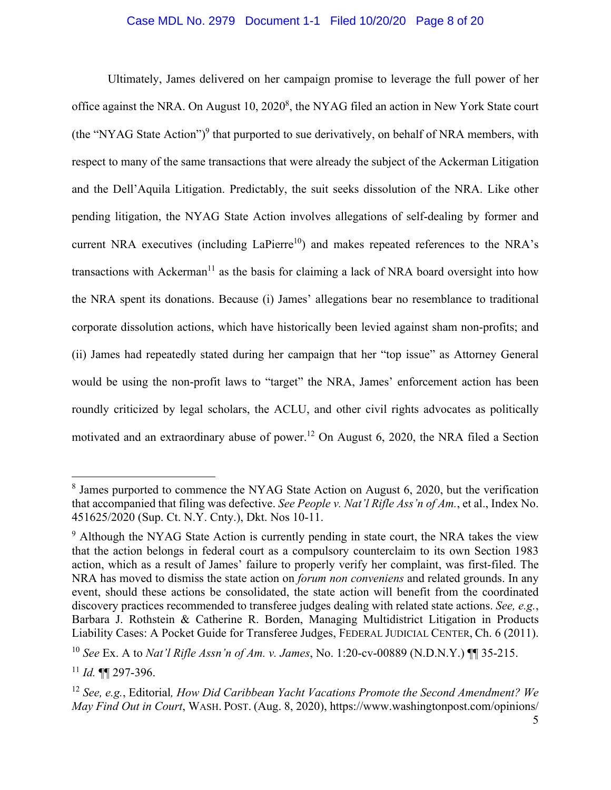### Case MDL No. 2979 Document 1-1 Filed 10/20/20 Page 8 of 20

Ultimately, James delivered on her campaign promise to leverage the full power of her office against the NRA. On August  $10, 2020^8$ , the NYAG filed an action in New York State court (the "NYAG State Action") $9$  that purported to sue derivatively, on behalf of NRA members, with respect to many of the same transactions that were already the subject of the Ackerman Litigation and the Dell'Aquila Litigation. Predictably, the suit seeks dissolution of the NRA. Like other pending litigation, the NYAG State Action involves allegations of self-dealing by former and current NRA executives (including LaPierre<sup>10</sup>) and makes repeated references to the NRA's transactions with Ackerman<sup>11</sup> as the basis for claiming a lack of NRA board oversight into how the NRA spent its donations. Because (i) James' allegations bear no resemblance to traditional corporate dissolution actions, which have historically been levied against sham non-profits; and (ii) James had repeatedly stated during her campaign that her "top issue" as Attorney General would be using the non-profit laws to "target" the NRA, James' enforcement action has been roundly criticized by legal scholars, the ACLU, and other civil rights advocates as politically motivated and an extraordinary abuse of power.<sup>12</sup> On August 6, 2020, the NRA filed a Section

<sup>&</sup>lt;sup>8</sup> James purported to commence the NYAG State Action on August 6, 2020, but the verification that accompanied that filing was defective. *See People v. Nat'l Rifle Ass'n of Am.*, et al., Index No. 451625/2020 (Sup. Ct. N.Y. Cnty.), Dkt. Nos 10-11.

<sup>&</sup>lt;sup>9</sup> Although the NYAG State Action is currently pending in state court, the NRA takes the view that the action belongs in federal court as a compulsory counterclaim to its own Section 1983 action, which as a result of James' failure to properly verify her complaint, was first-filed. The NRA has moved to dismiss the state action on *forum non conveniens* and related grounds. In any event, should these actions be consolidated, the state action will benefit from the coordinated discovery practices recommended to transferee judges dealing with related state actions. *See, e.g.*, Barbara J. Rothstein & Catherine R. Borden, Managing Multidistrict Litigation in Products Liability Cases: A Pocket Guide for Transferee Judges, FEDERAL JUDICIAL CENTER, Ch. 6 (2011).

<sup>10</sup> *See* Ex. A to *Nat'l Rifle Assn'n of Am. v. James*, No. 1:20-cv-00889 (N.D.N.Y.) ¶¶ 35-215.

<sup>11</sup> *Id.* ¶¶ 297-396.

<sup>12</sup> *See, e.g.*, Editorial*, How Did Caribbean Yacht Vacations Promote the Second Amendment? We May Find Out in Court*, WASH. POST. (Aug. 8, 2020), https://www.washingtonpost.com/opinions/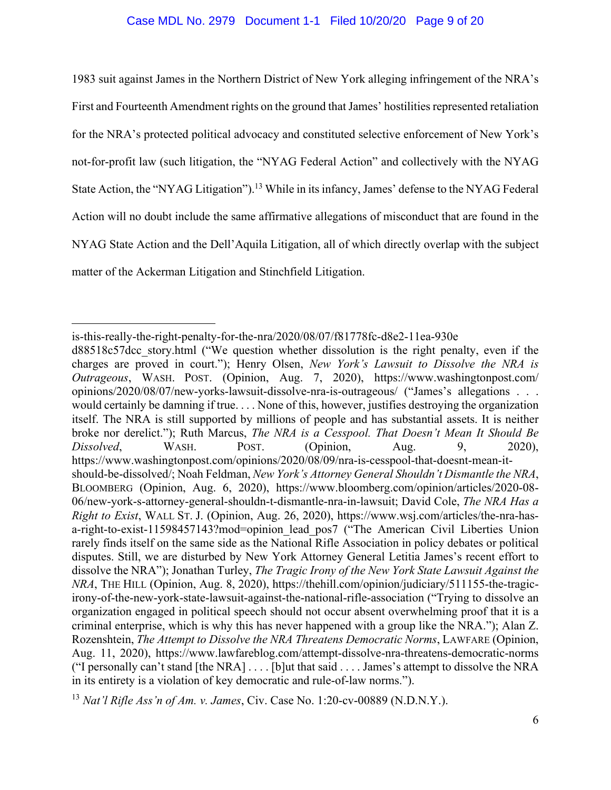### Case MDL No. 2979 Document 1-1 Filed 10/20/20 Page 9 of 20

1983 suit against James in the Northern District of New York alleging infringement of the NRA's First and Fourteenth Amendment rights on the ground that James' hostilities represented retaliation for the NRA's protected political advocacy and constituted selective enforcement of New York's not-for-profit law (such litigation, the "NYAG Federal Action" and collectively with the NYAG State Action, the "NYAG Litigation").<sup>13</sup> While in its infancy, James' defense to the NYAG Federal Action will no doubt include the same affirmative allegations of misconduct that are found in the NYAG State Action and the Dell'Aquila Litigation, all of which directly overlap with the subject matter of the Ackerman Litigation and Stinchfield Litigation.

is-this-really-the-right-penalty-for-the-nra/2020/08/07/f81778fc-d8e2-11ea-930e

d88518c57dcc\_story.html ("We question whether dissolution is the right penalty, even if the charges are proved in court."); Henry Olsen, *New York's Lawsuit to Dissolve the NRA is Outrageous*, WASH. POST. (Opinion, Aug. 7, 2020), https://www.washingtonpost.com/ opinions/2020/08/07/new-yorks-lawsuit-dissolve-nra-is-outrageous/ ("James's allegations . . . would certainly be damning if true. . . . None of this, however, justifies destroying the organization itself. The NRA is still supported by millions of people and has substantial assets. It is neither broke nor derelict."); Ruth Marcus, *The NRA is a Cesspool. That Doesn't Mean It Should Be Dissolved*, WASH. POST. (Opinion, Aug. 9, 2020), https://www.washingtonpost.com/opinions/2020/08/09/nra-is-cesspool-that-doesnt-mean-itshould-be-dissolved/; Noah Feldman, *New York's Attorney General Shouldn't Dismantle the NRA*, BLOOMBERG (Opinion, Aug. 6, 2020), https://www.bloomberg.com/opinion/articles/2020-08- 06/new-york-s-attorney-general-shouldn-t-dismantle-nra-in-lawsuit; David Cole, *The NRA Has a Right to Exist*, WALL ST. J. (Opinion, Aug. 26, 2020), https://www.wsj.com/articles/the-nra-hasa-right-to-exist-11598457143?mod=opinion lead pos7 ("The American Civil Liberties Union rarely finds itself on the same side as the National Rifle Association in policy debates or political disputes. Still, we are disturbed by New York Attorney General Letitia James's recent effort to dissolve the NRA"); Jonathan Turley, *The Tragic Irony of the New York State Lawsuit Against the NRA*, THE HILL (Opinion, Aug. 8, 2020), https://thehill.com/opinion/judiciary/511155-the-tragicirony-of-the-new-york-state-lawsuit-against-the-national-rifle-association ("Trying to dissolve an organization engaged in political speech should not occur absent overwhelming proof that it is a criminal enterprise, which is why this has never happened with a group like the NRA."); Alan Z. Rozenshtein, *The Attempt to Dissolve the NRA Threatens Democratic Norms*, LAWFARE (Opinion, Aug. 11, 2020), https://www.lawfareblog.com/attempt-dissolve-nra-threatens-democratic-norms ("I personally can't stand [the NRA] . . . . [b]ut that said . . . . James's attempt to dissolve the NRA in its entirety is a violation of key democratic and rule-of-law norms.").

<sup>13</sup> *Nat'l Rifle Ass'n of Am. v. James*, Civ. Case No. 1:20-cv-00889 (N.D.N.Y.).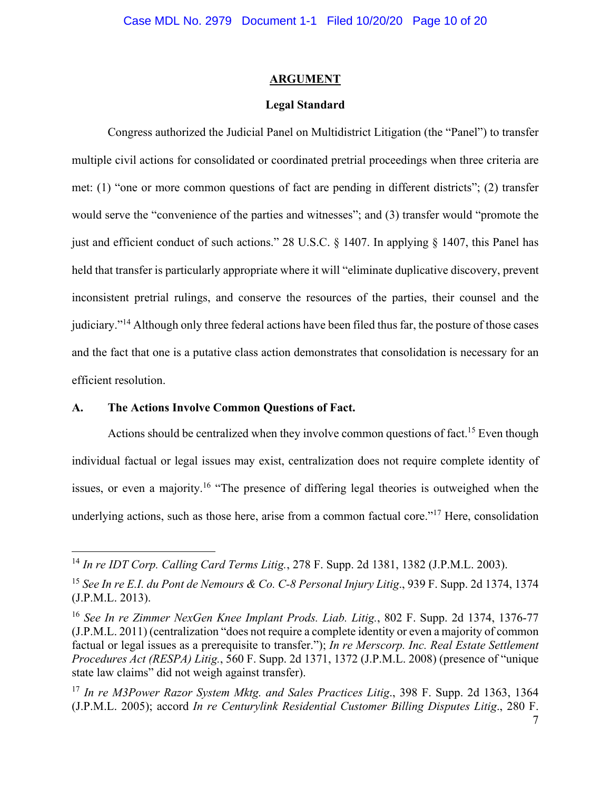### **ARGUMENT**

### **Legal Standard**

Congress authorized the Judicial Panel on Multidistrict Litigation (the "Panel") to transfer multiple civil actions for consolidated or coordinated pretrial proceedings when three criteria are met: (1) "one or more common questions of fact are pending in different districts"; (2) transfer would serve the "convenience of the parties and witnesses"; and (3) transfer would "promote the just and efficient conduct of such actions." 28 U.S.C. § 1407. In applying § 1407, this Panel has held that transfer is particularly appropriate where it will "eliminate duplicative discovery, prevent inconsistent pretrial rulings, and conserve the resources of the parties, their counsel and the judiciary."14 Although only three federal actions have been filed thus far, the posture of those cases and the fact that one is a putative class action demonstrates that consolidation is necessary for an efficient resolution.

### **A. The Actions Involve Common Questions of Fact.**

Actions should be centralized when they involve common questions of fact.<sup>15</sup> Even though individual factual or legal issues may exist, centralization does not require complete identity of issues, or even a majority.<sup>16</sup> "The presence of differing legal theories is outweighed when the underlying actions, such as those here, arise from a common factual core."<sup>17</sup> Here, consolidation

<sup>14</sup> *In re IDT Corp. Calling Card Terms Litig.*, 278 F. Supp. 2d 1381, 1382 (J.P.M.L. 2003).

<sup>15</sup> *See In re E.I. du Pont de Nemours & Co. C-8 Personal Injury Litig*., 939 F. Supp. 2d 1374, 1374 (J.P.M.L. 2013).

<sup>16</sup> *See In re Zimmer NexGen Knee Implant Prods. Liab. Litig.*, 802 F. Supp. 2d 1374, 1376-77 (J.P.M.L. 2011) (centralization "does not require a complete identity or even a majority of common factual or legal issues as a prerequisite to transfer."); *In re Merscorp. Inc. Real Estate Settlement Procedures Act (RESPA) Litig.*, 560 F. Supp. 2d 1371, 1372 (J.P.M.L. 2008) (presence of "unique state law claims" did not weigh against transfer).

<sup>17</sup> *In re M3Power Razor System Mktg. and Sales Practices Litig*., 398 F. Supp. 2d 1363, 1364 (J.P.M.L. 2005); accord *In re Centurylink Residential Customer Billing Disputes Litig*., 280 F.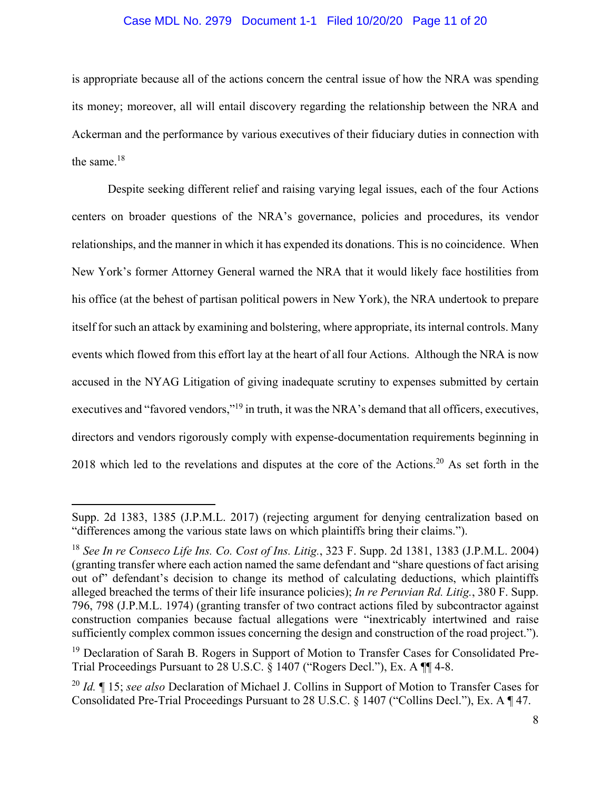### Case MDL No. 2979 Document 1-1 Filed 10/20/20 Page 11 of 20

is appropriate because all of the actions concern the central issue of how the NRA was spending its money; moreover, all will entail discovery regarding the relationship between the NRA and Ackerman and the performance by various executives of their fiduciary duties in connection with the same.18

Despite seeking different relief and raising varying legal issues, each of the four Actions centers on broader questions of the NRA's governance, policies and procedures, its vendor relationships, and the manner in which it has expended its donations. This is no coincidence. When New York's former Attorney General warned the NRA that it would likely face hostilities from his office (at the behest of partisan political powers in New York), the NRA undertook to prepare itself for such an attack by examining and bolstering, where appropriate, its internal controls. Many events which flowed from this effort lay at the heart of all four Actions. Although the NRA is now accused in the NYAG Litigation of giving inadequate scrutiny to expenses submitted by certain executives and "favored vendors,"<sup>19</sup> in truth, it was the NRA's demand that all officers, executives, directors and vendors rigorously comply with expense-documentation requirements beginning in 2018 which led to the revelations and disputes at the core of the Actions.<sup>20</sup> As set forth in the

Supp. 2d 1383, 1385 (J.P.M.L. 2017) (rejecting argument for denying centralization based on "differences among the various state laws on which plaintiffs bring their claims.").

<sup>18</sup> *See In re Conseco Life Ins. Co. Cost of Ins. Litig.*, 323 F. Supp. 2d 1381, 1383 (J.P.M.L. 2004) (granting transfer where each action named the same defendant and "share questions of fact arising out of" defendant's decision to change its method of calculating deductions, which plaintiffs alleged breached the terms of their life insurance policies); *In re Peruvian Rd. Litig.*, 380 F. Supp. 796, 798 (J.P.M.L. 1974) (granting transfer of two contract actions filed by subcontractor against construction companies because factual allegations were "inextricably intertwined and raise sufficiently complex common issues concerning the design and construction of the road project.").

<sup>&</sup>lt;sup>19</sup> Declaration of Sarah B. Rogers in Support of Motion to Transfer Cases for Consolidated Pre-Trial Proceedings Pursuant to 28 U.S.C. § 1407 ("Rogers Decl."), Ex. A ¶¶ 4-8.

<sup>20</sup> *Id.* ¶ 15; *see also* Declaration of Michael J. Collins in Support of Motion to Transfer Cases for Consolidated Pre-Trial Proceedings Pursuant to 28 U.S.C. § 1407 ("Collins Decl."), Ex. A ¶ 47.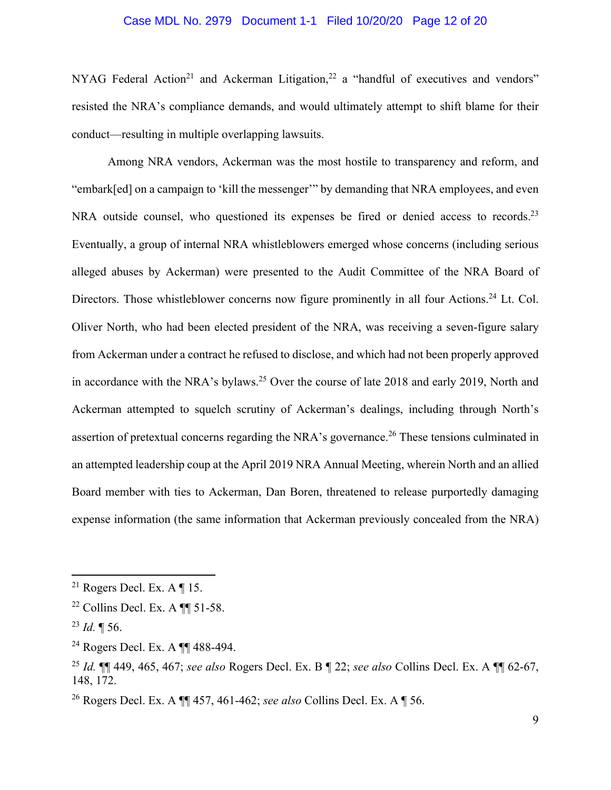### Case MDL No. 2979 Document 1-1 Filed 10/20/20 Page 12 of 20

NYAG Federal Action<sup>21</sup> and Ackerman Litigation,<sup>22</sup> a "handful of executives and vendors" resisted the NRA's compliance demands, and would ultimately attempt to shift blame for their conduct—resulting in multiple overlapping lawsuits.

Among NRA vendors, Ackerman was the most hostile to transparency and reform, and "embark[ed] on a campaign to 'kill the messenger'" by demanding that NRA employees, and even NRA outside counsel, who questioned its expenses be fired or denied access to records.<sup>23</sup> Eventually, a group of internal NRA whistleblowers emerged whose concerns (including serious alleged abuses by Ackerman) were presented to the Audit Committee of the NRA Board of Directors. Those whistleblower concerns now figure prominently in all four Actions.<sup>24</sup> Lt. Col. Oliver North, who had been elected president of the NRA, was receiving a seven-figure salary from Ackerman under a contract he refused to disclose, and which had not been properly approved in accordance with the NRA's bylaws.<sup>25</sup> Over the course of late 2018 and early 2019, North and Ackerman attempted to squelch scrutiny of Ackerman's dealings, including through North's assertion of pretextual concerns regarding the NRA's governance.<sup>26</sup> These tensions culminated in an attempted leadership coup at the April 2019 NRA Annual Meeting, wherein North and an allied Board member with ties to Ackerman, Dan Boren, threatened to release purportedly damaging expense information (the same information that Ackerman previously concealed from the NRA)

<sup>&</sup>lt;sup>21</sup> Rogers Decl. Ex. A  $\P$  15.

 $22$  Collins Decl. Ex. A  $\P$   $1-58$ .

<sup>23</sup> *Id.* ¶ 56.

<sup>24</sup> Rogers Decl. Ex. A ¶¶ 488-494.

<sup>25</sup> *Id.* ¶¶ 449, 465, 467; *see also* Rogers Decl. Ex. B ¶ 22; *see also* Collins Decl. Ex. A ¶¶ 62-67, 148, 172.

<sup>26</sup> Rogers Decl. Ex. A ¶¶ 457, 461-462; *see also* Collins Decl. Ex. A ¶ 56.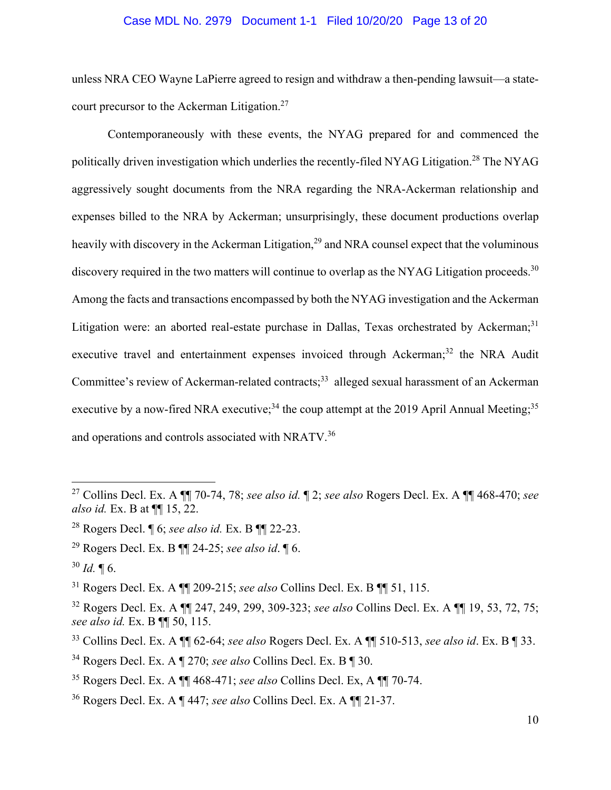### Case MDL No. 2979 Document 1-1 Filed 10/20/20 Page 13 of 20

unless NRA CEO Wayne LaPierre agreed to resign and withdraw a then-pending lawsuit—a statecourt precursor to the Ackerman Litigation.<sup>27</sup>

Contemporaneously with these events, the NYAG prepared for and commenced the politically driven investigation which underlies the recently-filed NYAG Litigation.28 The NYAG aggressively sought documents from the NRA regarding the NRA-Ackerman relationship and expenses billed to the NRA by Ackerman; unsurprisingly, these document productions overlap heavily with discovery in the Ackerman Litigation,<sup>29</sup> and NRA counsel expect that the voluminous discovery required in the two matters will continue to overlap as the NYAG Litigation proceeds.<sup>30</sup> Among the facts and transactions encompassed by both the NYAG investigation and the Ackerman Litigation were: an aborted real-estate purchase in Dallas, Texas orchestrated by Ackerman;<sup>31</sup> executive travel and entertainment expenses invoiced through Ackerman;<sup>32</sup> the NRA Audit Committee's review of Ackerman-related contracts;<sup>33</sup> alleged sexual harassment of an Ackerman executive by a now-fired NRA executive;<sup>34</sup> the coup attempt at the 2019 April Annual Meeting;<sup>35</sup> and operations and controls associated with NRATV.<sup>36</sup>

<sup>27</sup> Collins Decl. Ex. A ¶¶ 70-74, 78; *see also id.* ¶ 2; *see also* Rogers Decl. Ex. A ¶¶ 468-470; *see also id.* Ex. B at ¶¶ 15, 22.

<sup>28</sup> Rogers Decl. ¶ 6; *see also id.* Ex. B ¶¶ 22-23.

<sup>29</sup> Rogers Decl. Ex. B ¶¶ 24-25; *see also id*. ¶ 6.

 $30$  *Id.*  $\llbracket 6$ .

<sup>31</sup> Rogers Decl. Ex. A ¶¶ 209-215; *see also* Collins Decl. Ex. B ¶¶ 51, 115.

<sup>32</sup> Rogers Decl. Ex. A ¶¶ 247, 249, 299, 309-323; *see also* Collins Decl. Ex. A ¶¶ 19, 53, 72, 75; *see also id.* Ex. B ¶¶ 50, 115.

<sup>33</sup> Collins Decl. Ex. A ¶¶ 62-64; *see also* Rogers Decl. Ex. A ¶¶ 510-513, *see also id*. Ex. B ¶ 33.

<sup>34</sup> Rogers Decl. Ex. A ¶ 270; *see also* Collins Decl. Ex. B ¶ 30.

<sup>35</sup> Rogers Decl. Ex. A ¶¶ 468-471; *see also* Collins Decl. Ex, A ¶¶ 70-74.

<sup>36</sup> Rogers Decl. Ex. A ¶ 447; *see also* Collins Decl. Ex. A ¶¶ 21-37.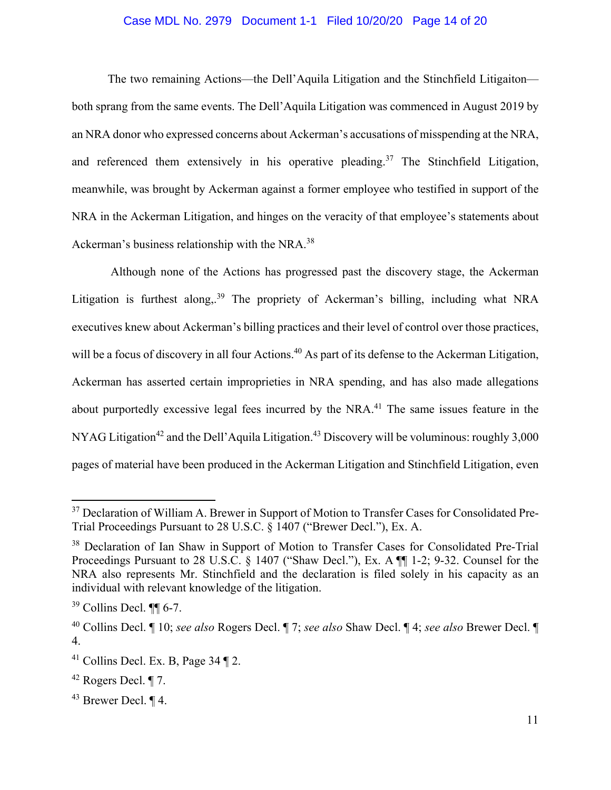### Case MDL No. 2979 Document 1-1 Filed 10/20/20 Page 14 of 20

The two remaining Actions—the Dell'Aquila Litigation and the Stinchfield Litigaiton both sprang from the same events. The Dell'Aquila Litigation was commenced in August 2019 by an NRA donor who expressed concerns about Ackerman's accusations of misspending at the NRA, and referenced them extensively in his operative pleading.<sup>37</sup> The Stinchfield Litigation, meanwhile, was brought by Ackerman against a former employee who testified in support of the NRA in the Ackerman Litigation, and hinges on the veracity of that employee's statements about Ackerman's business relationship with the NRA.<sup>38</sup>

 Although none of the Actions has progressed past the discovery stage, the Ackerman Litigation is furthest along.<sup>39</sup> The propriety of Ackerman's billing, including what NRA executives knew about Ackerman's billing practices and their level of control over those practices, will be a focus of discovery in all four Actions.<sup>40</sup> As part of its defense to the Ackerman Litigation, Ackerman has asserted certain improprieties in NRA spending, and has also made allegations about purportedly excessive legal fees incurred by the NRA.<sup>41</sup> The same issues feature in the NYAG Litigation<sup>42</sup> and the Dell'Aquila Litigation.<sup>43</sup> Discovery will be voluminous: roughly 3,000 pages of material have been produced in the Ackerman Litigation and Stinchfield Litigation, even

<sup>&</sup>lt;sup>37</sup> Declaration of William A. Brewer in Support of Motion to Transfer Cases for Consolidated Pre-Trial Proceedings Pursuant to 28 U.S.C. § 1407 ("Brewer Decl."), Ex. A.

<sup>&</sup>lt;sup>38</sup> Declaration of Ian Shaw in Support of Motion to Transfer Cases for Consolidated Pre-Trial Proceedings Pursuant to 28 U.S.C. § 1407 ("Shaw Decl."), Ex. A ¶[ 1-2; 9-32. Counsel for the NRA also represents Mr. Stinchfield and the declaration is filed solely in his capacity as an individual with relevant knowledge of the litigation.

 $39$  Collins Decl.  $\P\P$  6-7.

<sup>40</sup> Collins Decl. ¶ 10; *see also* Rogers Decl. ¶ 7; *see also* Shaw Decl. ¶ 4; *see also* Brewer Decl. ¶ 4.

 $41$  Collins Decl. Ex. B, Page 34 ¶ 2.

 $42$  Rogers Decl. ¶ 7.

<sup>43</sup> Brewer Decl. ¶ 4.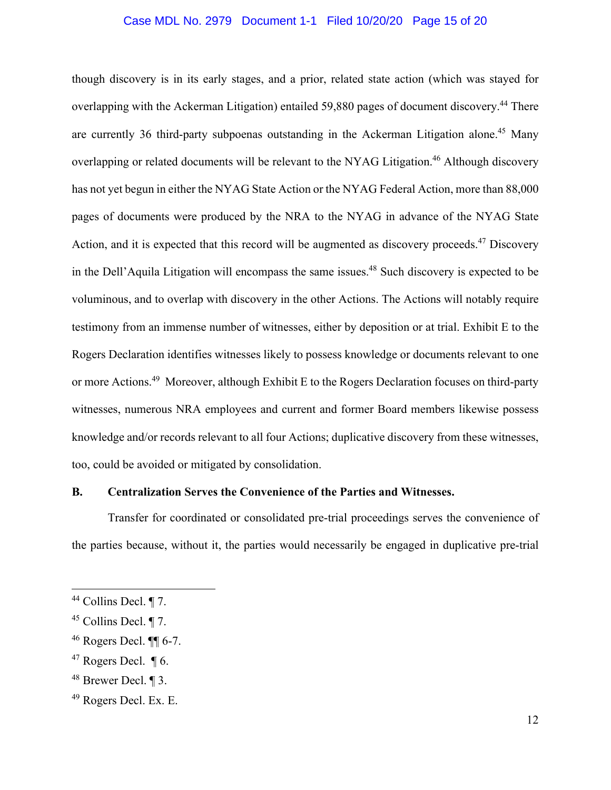### Case MDL No. 2979 Document 1-1 Filed 10/20/20 Page 15 of 20

though discovery is in its early stages, and a prior, related state action (which was stayed for overlapping with the Ackerman Litigation) entailed 59,880 pages of document discovery.<sup>44</sup> There are currently 36 third-party subpoenas outstanding in the Ackerman Litigation alone.<sup>45</sup> Many overlapping or related documents will be relevant to the NYAG Litigation.<sup>46</sup> Although discovery has not yet begun in either the NYAG State Action or the NYAG Federal Action, more than 88,000 pages of documents were produced by the NRA to the NYAG in advance of the NYAG State Action, and it is expected that this record will be augmented as discovery proceeds.<sup>47</sup> Discovery in the Dell'Aquila Litigation will encompass the same issues.<sup>48</sup> Such discovery is expected to be voluminous, and to overlap with discovery in the other Actions. The Actions will notably require testimony from an immense number of witnesses, either by deposition or at trial. Exhibit E to the Rogers Declaration identifies witnesses likely to possess knowledge or documents relevant to one or more Actions.49 Moreover, although Exhibit E to the Rogers Declaration focuses on third-party witnesses, numerous NRA employees and current and former Board members likewise possess knowledge and/or records relevant to all four Actions; duplicative discovery from these witnesses, too, could be avoided or mitigated by consolidation.

### **B. Centralization Serves the Convenience of the Parties and Witnesses.**

Transfer for coordinated or consolidated pre-trial proceedings serves the convenience of the parties because, without it, the parties would necessarily be engaged in duplicative pre-trial

<sup>44</sup> Collins Decl. ¶ 7.

 $45$  Collins Decl. ¶ 7.

 $46$  Rogers Decl.  $\P\P$  6-7.

 $47$  Rogers Decl.  $\P$  6.

<sup>48</sup> Brewer Decl. ¶ 3.

<sup>49</sup> Rogers Decl. Ex. E.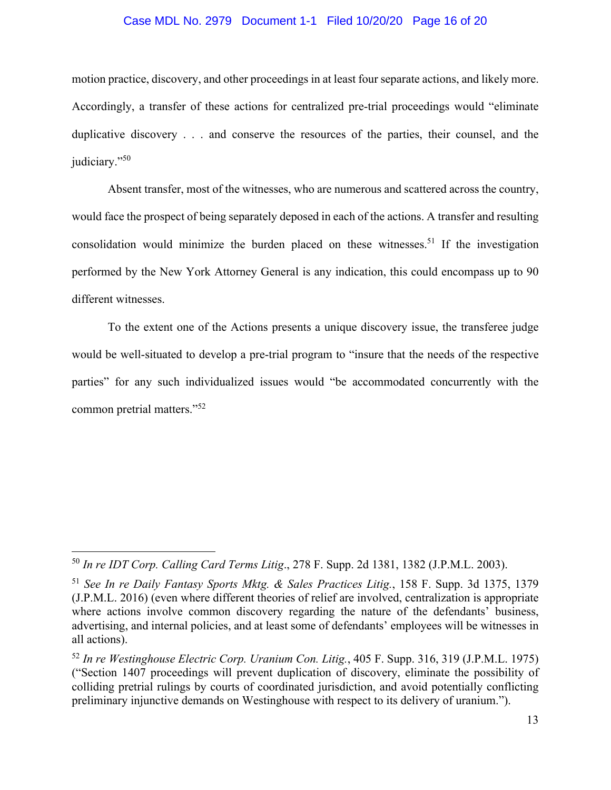### Case MDL No. 2979 Document 1-1 Filed 10/20/20 Page 16 of 20

motion practice, discovery, and other proceedings in at least four separate actions, and likely more. Accordingly, a transfer of these actions for centralized pre-trial proceedings would "eliminate duplicative discovery . . . and conserve the resources of the parties, their counsel, and the judiciary."50

Absent transfer, most of the witnesses, who are numerous and scattered across the country, would face the prospect of being separately deposed in each of the actions. A transfer and resulting consolidation would minimize the burden placed on these witnesses.<sup>51</sup> If the investigation performed by the New York Attorney General is any indication, this could encompass up to 90 different witnesses.

To the extent one of the Actions presents a unique discovery issue, the transferee judge would be well-situated to develop a pre-trial program to "insure that the needs of the respective parties" for any such individualized issues would "be accommodated concurrently with the common pretrial matters."52

<sup>50</sup> *In re IDT Corp. Calling Card Terms Litig*., 278 F. Supp. 2d 1381, 1382 (J.P.M.L. 2003).

<sup>51</sup> *See In re Daily Fantasy Sports Mktg. & Sales Practices Litig.*, 158 F. Supp. 3d 1375, 1379 (J.P.M.L. 2016) (even where different theories of relief are involved, centralization is appropriate where actions involve common discovery regarding the nature of the defendants' business, advertising, and internal policies, and at least some of defendants' employees will be witnesses in all actions).

<sup>52</sup> *In re Westinghouse Electric Corp. Uranium Con. Litig.*, 405 F. Supp. 316, 319 (J.P.M.L. 1975) ("Section 1407 proceedings will prevent duplication of discovery, eliminate the possibility of colliding pretrial rulings by courts of coordinated jurisdiction, and avoid potentially conflicting preliminary injunctive demands on Westinghouse with respect to its delivery of uranium.").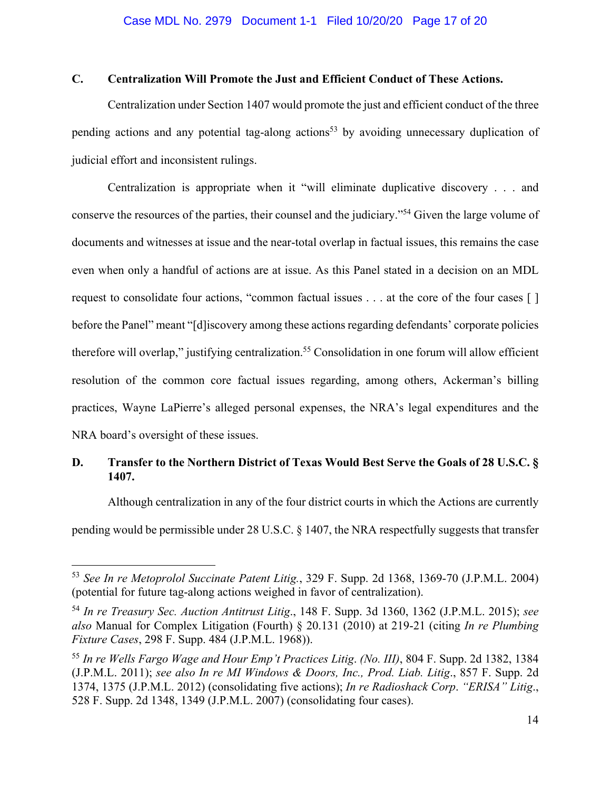## **C. Centralization Will Promote the Just and Efficient Conduct of These Actions.**

Centralization under Section 1407 would promote the just and efficient conduct of the three pending actions and any potential tag-along actions<sup>53</sup> by avoiding unnecessary duplication of judicial effort and inconsistent rulings.

Centralization is appropriate when it "will eliminate duplicative discovery . . . and conserve the resources of the parties, their counsel and the judiciary."54 Given the large volume of documents and witnesses at issue and the near-total overlap in factual issues, this remains the case even when only a handful of actions are at issue. As this Panel stated in a decision on an MDL request to consolidate four actions, "common factual issues . . . at the core of the four cases [ ] before the Panel" meant "[d]iscovery among these actions regarding defendants' corporate policies therefore will overlap," justifying centralization.<sup>55</sup> Consolidation in one forum will allow efficient resolution of the common core factual issues regarding, among others, Ackerman's billing practices, Wayne LaPierre's alleged personal expenses, the NRA's legal expenditures and the NRA board's oversight of these issues.

## **D. Transfer to the Northern District of Texas Would Best Serve the Goals of 28 U.S.C. § 1407.**

Although centralization in any of the four district courts in which the Actions are currently pending would be permissible under 28 U.S.C. § 1407, the NRA respectfully suggests that transfer

<sup>53</sup> *See In re Metoprolol Succinate Patent Litig.*, 329 F. Supp. 2d 1368, 1369-70 (J.P.M.L. 2004) (potential for future tag-along actions weighed in favor of centralization).

<sup>54</sup> *In re Treasury Sec. Auction Antitrust Litig*., 148 F. Supp. 3d 1360, 1362 (J.P.M.L. 2015); *see also* Manual for Complex Litigation (Fourth) § 20.131 (2010) at 219-21 (citing *In re Plumbing Fixture Cases*, 298 F. Supp. 484 (J.P.M.L. 1968)).

<sup>55</sup> *In re Wells Fargo Wage and Hour Emp't Practices Litig*. *(No. III)*, 804 F. Supp. 2d 1382, 1384 (J.P.M.L. 2011); *see also In re MI Windows & Doors, Inc., Prod. Liab. Litig*., 857 F. Supp. 2d 1374, 1375 (J.P.M.L. 2012) (consolidating five actions); *In re Radioshack Corp*. *"ERISA" Litig*., 528 F. Supp. 2d 1348, 1349 (J.P.M.L. 2007) (consolidating four cases).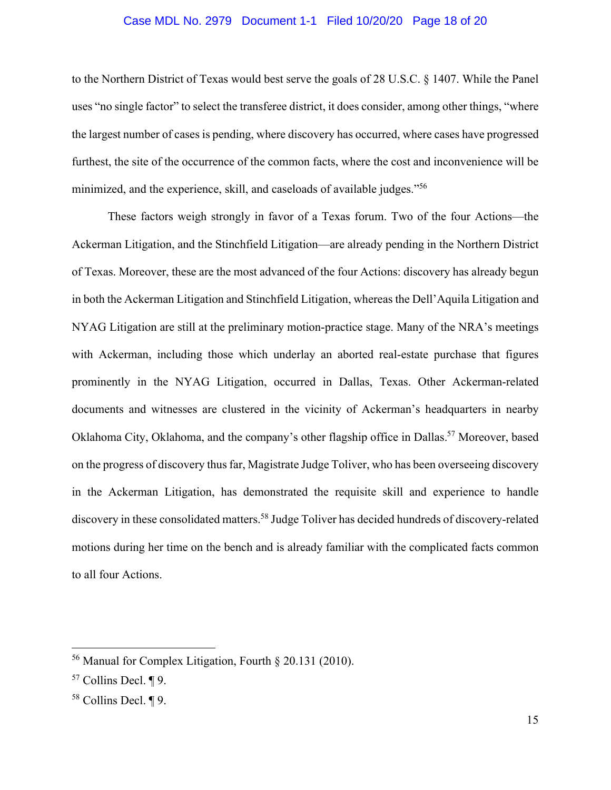### Case MDL No. 2979 Document 1-1 Filed 10/20/20 Page 18 of 20

to the Northern District of Texas would best serve the goals of 28 U.S.C. § 1407. While the Panel uses "no single factor" to select the transferee district, it does consider, among other things, "where the largest number of cases is pending, where discovery has occurred, where cases have progressed furthest, the site of the occurrence of the common facts, where the cost and inconvenience will be minimized, and the experience, skill, and caseloads of available judges."<sup>56</sup>

These factors weigh strongly in favor of a Texas forum. Two of the four Actions—the Ackerman Litigation, and the Stinchfield Litigation—are already pending in the Northern District of Texas. Moreover, these are the most advanced of the four Actions: discovery has already begun in both the Ackerman Litigation and Stinchfield Litigation, whereas the Dell'Aquila Litigation and NYAG Litigation are still at the preliminary motion-practice stage. Many of the NRA's meetings with Ackerman, including those which underlay an aborted real-estate purchase that figures prominently in the NYAG Litigation, occurred in Dallas, Texas. Other Ackerman-related documents and witnesses are clustered in the vicinity of Ackerman's headquarters in nearby Oklahoma City, Oklahoma, and the company's other flagship office in Dallas.<sup>57</sup> Moreover, based on the progress of discovery thus far, Magistrate Judge Toliver, who has been overseeing discovery in the Ackerman Litigation, has demonstrated the requisite skill and experience to handle discovery in these consolidated matters.<sup>58</sup> Judge Toliver has decided hundreds of discovery-related motions during her time on the bench and is already familiar with the complicated facts common to all four Actions.

<sup>56</sup> Manual for Complex Litigation, Fourth § 20.131 (2010).

<sup>57</sup> Collins Decl. ¶ 9.

<sup>58</sup> Collins Decl. ¶ 9.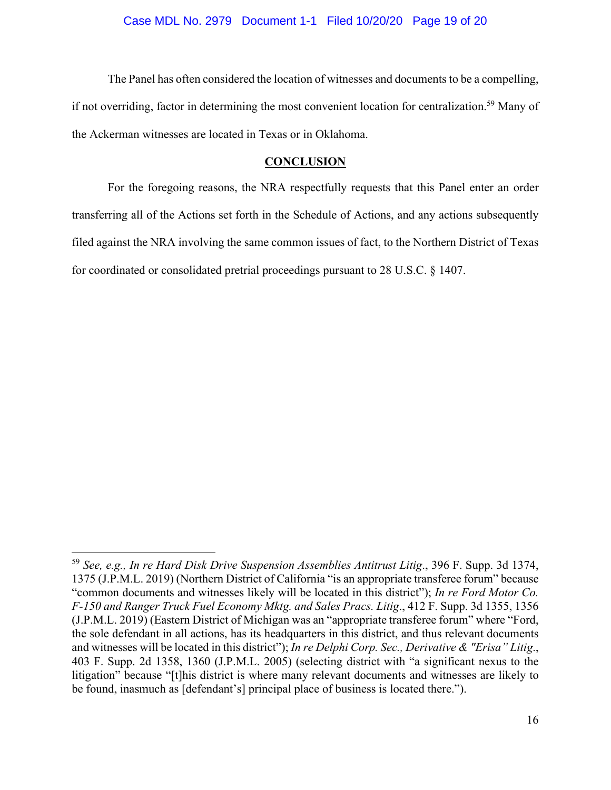The Panel has often considered the location of witnesses and documents to be a compelling, if not overriding, factor in determining the most convenient location for centralization.<sup>59</sup> Many of the Ackerman witnesses are located in Texas or in Oklahoma.

### **CONCLUSION**

For the foregoing reasons, the NRA respectfully requests that this Panel enter an order transferring all of the Actions set forth in the Schedule of Actions, and any actions subsequently filed against the NRA involving the same common issues of fact, to the Northern District of Texas for coordinated or consolidated pretrial proceedings pursuant to 28 U.S.C. § 1407.

<sup>59</sup> *See, e.g., In re Hard Disk Drive Suspension Assemblies Antitrust Litig*., 396 F. Supp. 3d 1374, 1375 (J.P.M.L. 2019) (Northern District of California "is an appropriate transferee forum" because "common documents and witnesses likely will be located in this district"); *In re Ford Motor Co. F-150 and Ranger Truck Fuel Economy Mktg. and Sales Pracs. Litig*., 412 F. Supp. 3d 1355, 1356 (J.P.M.L. 2019) (Eastern District of Michigan was an "appropriate transferee forum" where "Ford, the sole defendant in all actions, has its headquarters in this district, and thus relevant documents and witnesses will be located in this district"); *In re Delphi Corp. Sec., Derivative & "Erisa" Litig*., 403 F. Supp. 2d 1358, 1360 (J.P.M.L. 2005) (selecting district with "a significant nexus to the litigation" because "[t]his district is where many relevant documents and witnesses are likely to be found, inasmuch as [defendant's] principal place of business is located there.").